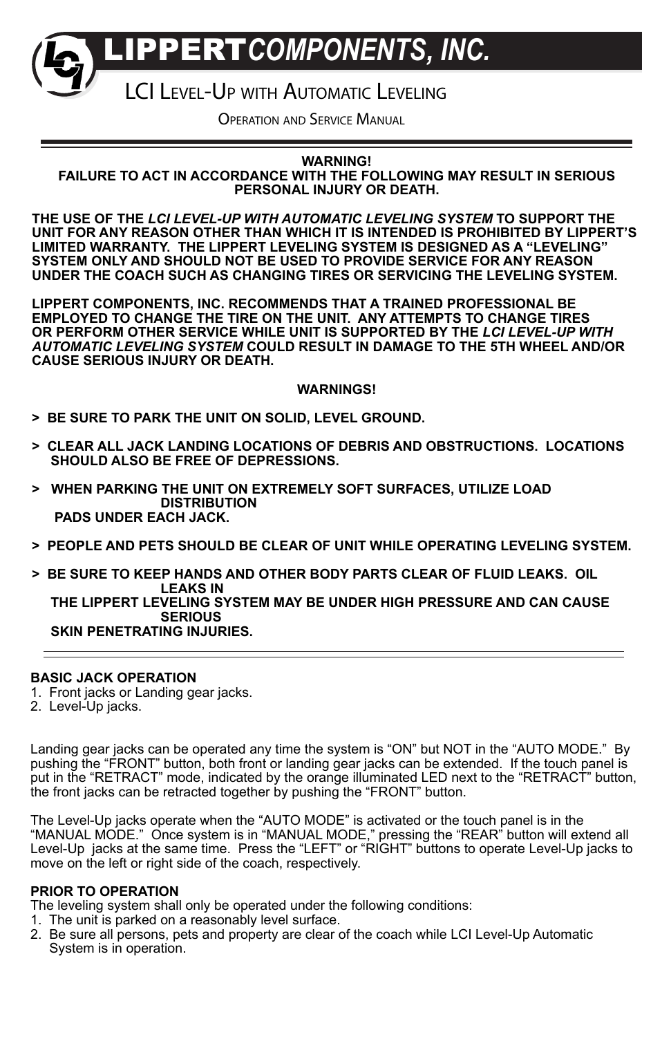PPERT*COMPONENTS, INC.* 

# LCI LEVEL-UP WITH AUTOMATIC LEVELING

**OPERATION AND SERVICE MANUAL** 

**WARNING! FAILURE TO ACT IN ACCORDANCE WITH THE FOLLOWING MAY RESULT IN SERIOUS PERSONAL INJURY OR DEATH.** 

**THE,USE,OF,THE,***LCI\$LEVEL'UP\$WITH\$AUTOMATIC\$LEVELING\$SYSTEM***,TO,SUPPORT,THE,** UNIT, FOR ANY REASON OTHER THAN WHICH IT IS INTENDED IS PROHIBITED BY LIPPERT'S LIMITED WARRANTY. THE LIPPERT LEVELING SYSTEM IS DESIGNED AS A "LEVELING" SYSTEM ONLY AND SHOULD NOT BE USED TO PROVIDE SERVICE FOR ANY REASON UNDER THE COACH SUCH AS CHANGING TIRES OR SERVICING THE LEVELING SYSTEM.

**LIPPERT,COMPONENTS,,INC.,RECOMMENDS,THAT,A,TRAINED,PROFESSIONAL,BE, EMPLOYED,TO,CHANGE,THE,TIRE,ON,THE,UNIT.,,ANY,ATTEMPTS,TO,CHANGE,TIRES, OR PERFORM OTHER SERVICE WHILE UNIT IS SUPPORTED BY THE** *LCI LEVEL-UP WITH AUTOMATIC\$LEVELING\$SYSTEM\$***COULD,RESULT,IN,DAMAGE,TO,THE,5TH,WHEEL,AND/OR, CAUSE SERIOUS INJURY OR DEATH.** 

# **WARNINGS!**

**> BE SURE TO PARK THE UNIT ON SOLID, LEVEL GROUND.** 

- **> CLEAR ALL JACK LANDING LOCATIONS OF DEBRIS AND OBSTRUCTIONS. LOCATIONS** SHOULD ALSO BE FREE OF DEPRESSIONS.
- **>,,,WHEN,PARKING,THE,UNIT ON,EXTREMELY,SOFT,SURFACES,,UTILIZE,LOAD, DISTRIBUTION** PADS UNDER EACH JACK.
- **> PEOPLE AND PETS SHOULD BE CLEAR OF UNIT WHILE OPERATING LEVELING SYSTEM.**
- **> BE SURE TO KEEP HANDS AND OTHER BODY PARTS CLEAR OF FLUID LEAKS. OIL LEAKS,IN, THE LIPPERT LEVELING SYSTEM MAY BE UNDER HIGH PRESSURE AND CAN CAUSE SERIOUS** *SKIN PENETRATING INJURIES.*

## **BASIC,JACK,OPERATION**

- 1. Front jacks or Landing gear jacks.
- 2. Level-Up jacks.

Landing gear jacks can be operated any time the system is "ON" but NOT in the "AUTO MODE." By pushing the "FRONT" button, both front or landing gear jacks can be extended. If the touch panel is put in the "RETRACT" mode, indicated by the orange illuminated LED next to the "RETRACT" button, the front jacks can be retracted together by pushing the "FRONT" button.

The Level-Up jacks operate when the "AUTO MODE" is activated or the touch panel is in the "MANUAL MODE." Once system is in "MANUAL MODE," pressing the "REAR" button will extend all Level-Up jacks at the same time. Press the "LEFT" or "RIGHT" buttons to operate Level-Up jacks to move on the left or right side of the coach, respectively.

## **PRIOR TO OPERATION**

The leveling system shall only be operated under the following conditions:

- 1. The unit is parked on a reasonably level surface.
- 2. Be sure all persons, pets and property are clear of the coach while LCI Level-Up Automatic System is in operation.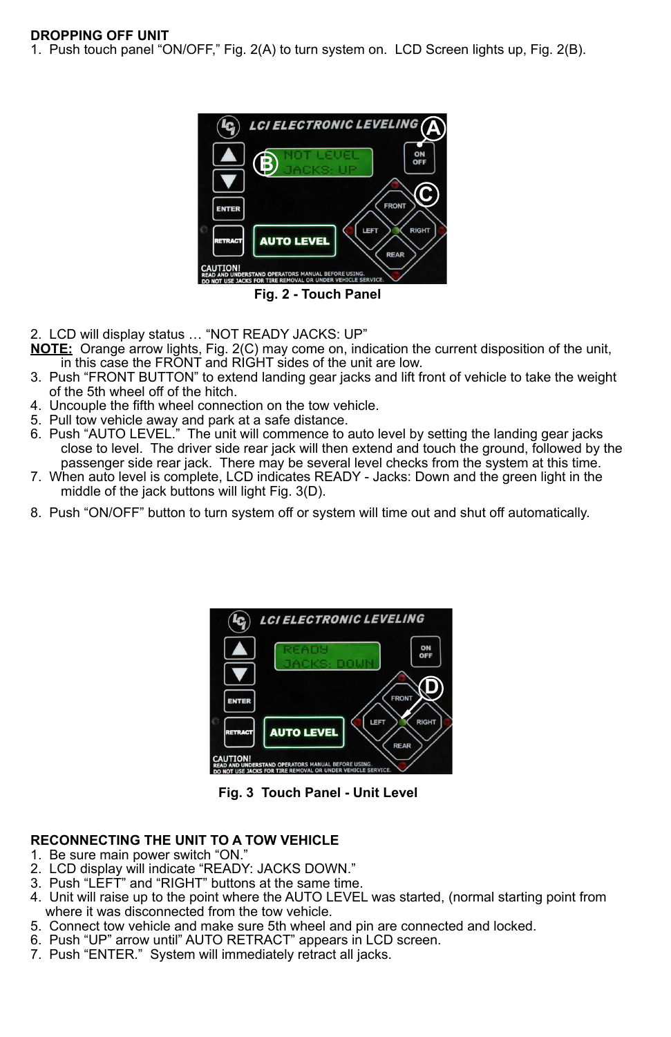## **DROPPING OFF UNIT**

1. Push touch panel "ON/OFF," Fig. 2(A) to turn system on. LCD Screen lights up, Fig. 2(B).



- 2. LCD will display status ... "NOT READY JACKS: UP"
- **NOTE:** Orange arrow lights, Fig. 2(C) may come on, indication the current disposition of the unit,  $\overline{in}$  this case the FRONT and RIGHT sides of the unit are low.
- 3. Push "FRONT BUTTON" to extend landing gear jacks and lift front of vehicle to take the weight of the 5th wheel off of the hitch.
- 4. Uncouple the fifth wheel connection on the tow vehicle.
- 5. Pull tow vehicle away and park at a safe distance.
- 6. Push "AUTO LEVEL." The unit will commence to auto level by setting the landing gear jacks close to level. The driver side rear jack will then extend and touch the ground, followed by the passenger side rear jack. There may be several level checks from the system at this time.
- 7. When auto level is complete, LCD indicates READY Jacks: Down and the green light in the middle of the jack buttons will light Fig.  $3(D)$ .
- 8. Push "ON/OFF" button to turn system off or system will time out and shut off automatically.



**Fig. 3 Touch Panel - Unit Level** 

## **RECONNECTING THE UNIT TO A TOW VEHICLE**

- 1. Be sure main power switch "ON."
- 2. LCD display will indicate "READY: JACKS DOWN."
- 3. Push "LEFT" and "RIGHT" buttons at the same time.
- 4. Unit will raise up to the point where the AUTO LEVEL was started, (normal starting point from where it was disconnected from the tow vehicle.
- 5. Connect tow vehicle and make sure 5th wheel and pin are connected and locked.
- 6. Push "UP" arrow until" AUTO RETRACT" appears in LCD screen.
- 7. Push "ENTER." System will immediately retract all jacks.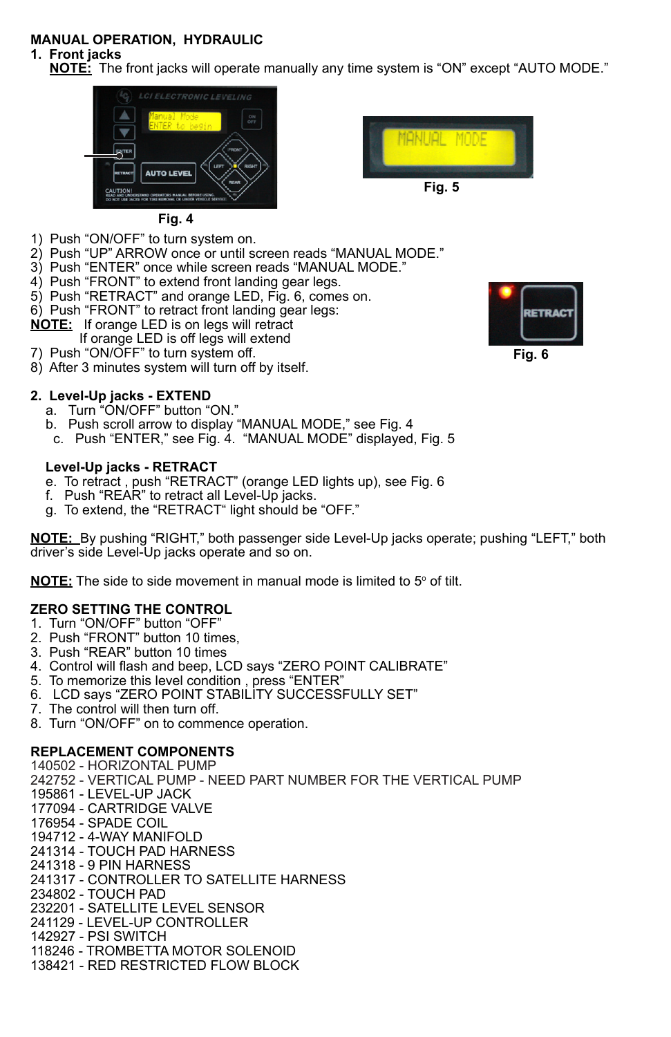# **MANUAL OPERATION, HYDRAULIC**

#### **1.** Front jacks

**NOTE:** The front jacks will operate manually any time system is "ON" except "AUTO MODE."





# **Fig.,4**

- 1) Push "ON/OFF" to turn system on.
- 2) Push "UP" ARROW once or until screen reads "MANUAL MODE."
- 3) Push "ENTER" once while screen reads "MANUAL MODE."
- $4$ ) Push "FRONT" to extend front landing gear legs.
- 5) Push "RETRACT" and orange LED, Fig. 6, comes on.
- 6) Push "FRONT" to retract front landing gear legs:
- **NOTE:** If orange LED is on legs will retract
	- If orange LED is off legs will extend
- 7) Push "ON/OFF" to turn system off.
- 8) After 3 minutes system will turn off by itself.

## 2. Level-Up jacks - EXTEND

- a. Turn "ON/OFF" button "ON."
- b. Push scroll arrow to display "MANUAL MODE," see Fig. 4
- c. Push "ENTER," see Fig. 4. "MANUAL MODE" displayed, Fig. 5

## Level-Up jacks - RETRACT

- e. To retract, push "RETRACT" (orange LED lights up), see Fig. 6
- f. Push "REAR" to retract all Level-Up jacks.
- g. To extend, the "RETRACT" light should be "OFF."

**NOTE:** By pushing "RIGHT," both passenger side Level-Up jacks operate; pushing "LEFT," both driver's side Level-Up jacks operate and so on.

**NOTE:** The side to side movement in manual mode is limited to 5° of tilt.

## **ZERO SETTING THE CONTROL**

- 1. Turn "ON/OFF" button "OFF
- 2. Push "FRONT" button 10 times,
- 3. Push "REAR" button 10 times
- 4. Control will flash and beep, LCD says "ZERO POINT CALIBRATE"
- 5. To memorize this level condition, press "ENTER"
- 6. LCD says "ZERO POINT STABILITY SUCCESSFULLY SET"
- 7. The control will then turn off.
- 8. Turn "ON/OFF" on to commence operation.

# **REPLACEMENT COMPONENTS**

- 140502 HORIZONTAL PUMP
- 242752 VERTICAL PUMP NEED PART NUMBER FOR THE VERTICAL PUMP
- 195861 LEVEL-UP JACK
- 177094 CARTRIDGE VALVE
- 176954 SPADE COIL
- 194712 4-WAY MANIFOLD
- 241314 TOUCH PAD HARNESS 241318 - 9 PIN HARNESS
- 241317 CONTROLLER TO SATELLITE HARNESS
- 234802 TOUCH PAD
- 232201 SATELLITE LEVEL SENSOR
- 241129 LEVEL-UP CONTROLLER
- 142927 PSI SWITCH
- 118246 TROMBETTA MOTOR SOLENOID
- 138421 RED RESTRICTED ELOW BLOCK

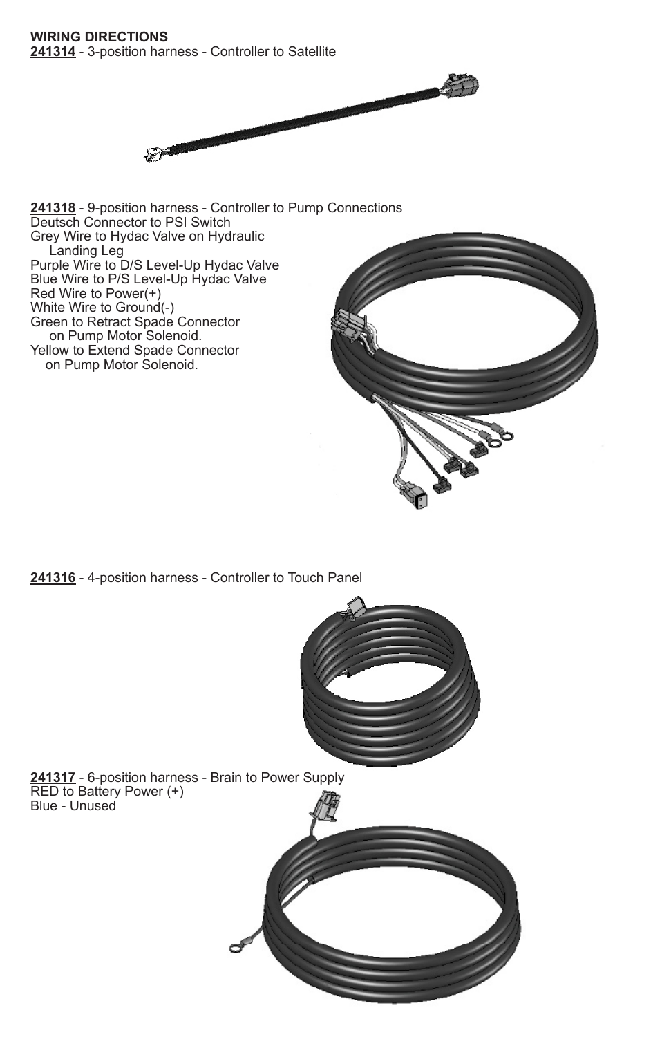

241318 - 9-position harness - Controller to Pump Connections Deutsch Connector to PSI Switch Grey Wire to Hydac Valve on Hydraulic Landing Leg Purple Wire to D/S Level-Up Hydac Valve Blue Wire to P/S Level-Up Hydac Valve Red Wire to Power(+) White Wire to Ground(-) Green to Retract Spade Connector on Pump Motor Solenoid. Yellow to Extend Spade Connector on Pump Motor Solenoid.



241316 - 4-position harness - Controller to Touch Panel



241317 - 6-position harness - Brain to Power Supply RED to Battery Power (+) Blue - Unused